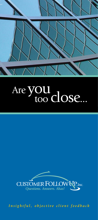

### Are **yOU** too close...



*Insightful, objective client feedback*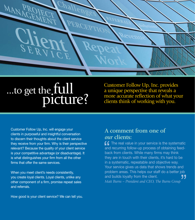

# ...to get the full picture?

Customer Follow Up, Inc. provides a unique perspective that reveals a more accurate reflection of what your clients think of working with you.

Customer Follow Up, Inc. will engage your clients in purposeful and insightful conversation to discern their thoughts about the client service they receive from your firm. Why is their perspective relevant? Because the quality of your client service is your competitive advantage (or disadvantage). It is what distinguishes your firm from all the other firms that offer the same services.

When you meet client's needs consistently, you create loyal clients. Loyal clients, unlike any other component of a firm, promise repeat sales and referrals.

#### How good is your client service? We can tell you.

#### **A comment from one of**  *our* **clients:**

 $f f$  The real value in your service is the systematic and recurring follow-up process of obtaining feedback from clients. While many firms may think they are in touch with their clients, it's hard to be in a systematic, repeatable and objective way. Your service gives us data that shows trends and problem areas. This helps our staff do a better job and builds loyalty from the client. *Matt Burns – President and CEO, The Burns Group*  $\frac{6}{10}$  and bad "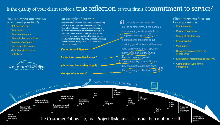firm's client care program



**Discuss** Discuss ways to integrate feedback into your firm Develop questions, define project goals Sign project agreement, initial invoice processed Receive contact list, develop database Client notifies contacts of the project *<sup>P</sup> <sup>R</sup> <sup>O</sup> <sup>J</sup> <sup>E</sup> <sup>C</sup> <sup>T</sup> <sup>D</sup> <sup>E</sup> <sup>V</sup> <sup>E</sup> <sup>L</sup> <sup>O</sup> <sup>P</sup> <sup>M</sup> <sup>E</sup> <sup>N</sup> <sup>T</sup> <sup>P</sup> <sup>H</sup> <sup>A</sup> <sup>S</sup> <sup>E</sup> <sup>D</sup> <sup>A</sup>T<sup>A</sup> <sup>C</sup> <sup>O</sup> <sup>L</sup> <sup>L</sup> <sup>E</sup> <sup>C</sup> <sup>T</sup> <sup>I</sup> <sup>O</sup> <sup>N</sup> <sup>P</sup> <sup>H</sup> <sup>A</sup> <sup>S</sup> <sup>E</sup>* Train<br>staff<br>Begin<br>Calling phase<br>End<br>calling phase<br>as needed<br>as needed<br>as needed<br>as needed<br>as needed<br>as needed<br>as needed<br>as needed<br>as needed<br>as needed<br>as needed<br>as needed<br>as needed<br>as needed<br>as needed<br>as needed<br>as needed<br>a Analyze data project



- Staff development
- Client service
- Client care program
- Client retention and referrals
- Business development
- Operational effectiveness
- Marketing effectiveness
- Profitability
- **Client interviews focus on key areas such as:**
- Communication
- Project management
- Quality of client service
- Issue resolution
- Work quality
- Suggested improvements for client service
- Likelihood of recommending your firm
- Comparison of your firm to competitors

## Is the quality of your client service a true reflection of your firm's commitment to service?

### **You can expect our services to enhance your firm's:**

The Customer Follow Up, Inc. Project Task Line...it's more than a phone call.

### **An example of our work:**

When we asked a client's client about recommending the firm, the response was a tentative "yes." With most other methods of obtaining feedback that is where the answer would have stopped. Because we talk to the clients, we can politely probe when we sense there is more to the story. Our client had no idea their client felt this way. They arranged a meeting, made the necessary adjustments and were able to save the relationship.

### Praise Project Manager!

Do you have operational issues?

Where/why has quality s

Are you losing revenue?

 $\boldsymbol{\zeta}$  ...actually we are considering 75 Questions. Answers. Ahas!<br>**Are you losing revenue?** Also, invoicing is often inaccurate. looking at other firms. It has become very frustrating working with them. The project manager is great; she is professional and cares about providing good service and they have done quality work. But, it appears that the firm has lost focus and they don't seem organized. The work quality has slipped, and they seem not to care that it has. Also, invoicing is often inaccurate